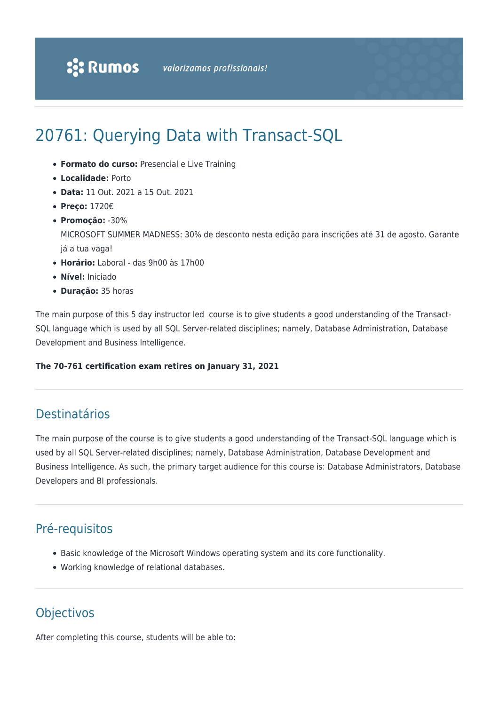# 20761: Querying Data with Transact-SQL

- **Formato do curso:** Presencial e Live Training
- **Localidade:** Porto
- **Data:** 11 Out. 2021 a 15 Out. 2021
- **Preço:** 1720€
- **Promoção:** -30%

MICROSOFT SUMMER MADNESS: 30% de desconto nesta edição para inscrições até 31 de agosto. Garante já a tua vaga!

- **Horário:** Laboral das 9h00 às 17h00
- **Nível:** Iniciado
- **Duração:** 35 horas

The main purpose of this 5 day instructor led course is to give students a good understanding of the Transact-SQL language which is used by all SQL Server-related disciplines; namely, Database Administration, Database Development and Business Intelligence.

#### **The 70-761 certification exam retires on January 31, 2021**

# Destinatários

The main purpose of the course is to give students a good understanding of the Transact-SQL language which is used by all SQL Server-related disciplines; namely, Database Administration, Database Development and Business Intelligence. As such, the primary target audience for this course is: Database Administrators, Database Developers and BI professionals.

# Pré-requisitos

- Basic knowledge of the Microsoft Windows operating system and its core functionality.
- Working knowledge of relational databases.

# **Objectivos**

After completing this course, students will be able to: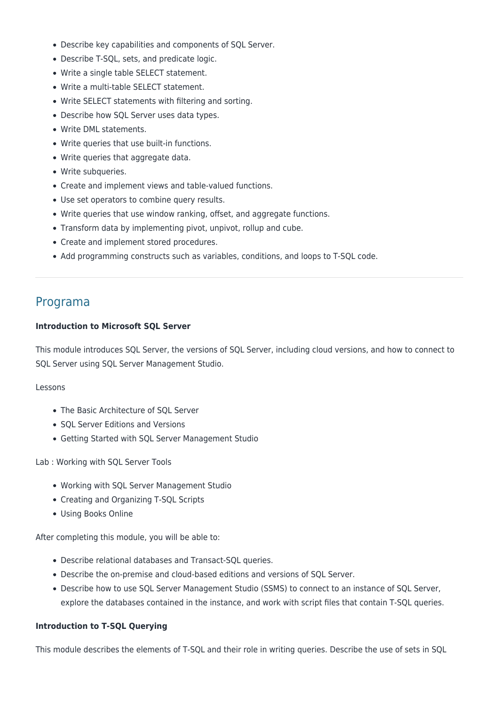- Describe key capabilities and components of SQL Server.
- Describe T-SQL, sets, and predicate logic.
- Write a single table SELECT statement.
- Write a multi-table SELECT statement.
- Write SELECT statements with filtering and sorting.
- Describe how SQL Server uses data types.
- Write DML statements.
- Write queries that use built-in functions.
- Write queries that aggregate data.
- Write subqueries.
- Create and implement views and table-valued functions.
- Use set operators to combine query results.
- Write queries that use window ranking, offset, and aggregate functions.
- Transform data by implementing pivot, unpivot, rollup and cube.
- Create and implement stored procedures.
- Add programming constructs such as variables, conditions, and loops to T-SQL code.

# Programa

#### **Introduction to Microsoft SQL Server**

This module introduces SQL Server, the versions of SQL Server, including cloud versions, and how to connect to SQL Server using SQL Server Management Studio.

#### Lessons

- The Basic Architecture of SOL Server
- SQL Server Editions and Versions
- Getting Started with SQL Server Management Studio

Lab : Working with SQL Server Tools

- Working with SQL Server Management Studio
- Creating and Organizing T-SQL Scripts
- Using Books Online

After completing this module, you will be able to:

- Describe relational databases and Transact-SQL queries.
- Describe the on-premise and cloud-based editions and versions of SQL Server.
- Describe how to use SQL Server Management Studio (SSMS) to connect to an instance of SQL Server, explore the databases contained in the instance, and work with script files that contain T-SQL queries.

#### **Introduction to T-SQL Querying**

This module describes the elements of T-SQL and their role in writing queries. Describe the use of sets in SQL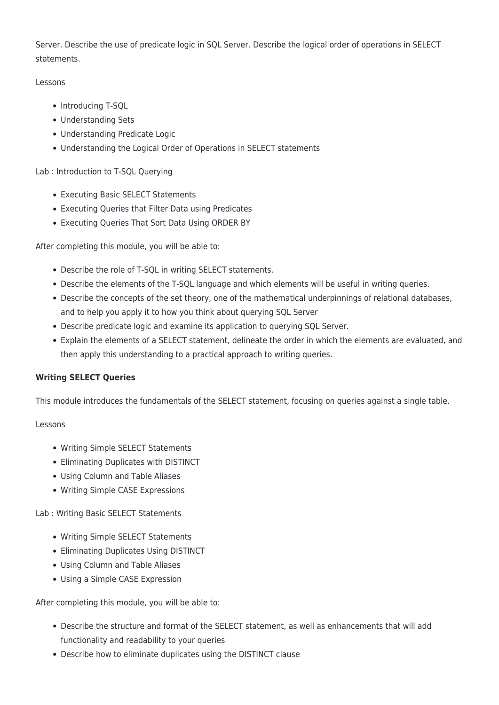Server. Describe the use of predicate logic in SQL Server. Describe the logical order of operations in SELECT statements.

# Lessons

- Introducing T-SQL
- Understanding Sets
- Understanding Predicate Logic
- Understanding the Logical Order of Operations in SELECT statements

# Lab : Introduction to T-SQL Querying

- Executing Basic SELECT Statements
- Executing Queries that Filter Data using Predicates
- Executing Queries That Sort Data Using ORDER BY

After completing this module, you will be able to:

- Describe the role of T-SQL in writing SELECT statements.
- Describe the elements of the T-SQL language and which elements will be useful in writing queries.
- Describe the concepts of the set theory, one of the mathematical underpinnings of relational databases, and to help you apply it to how you think about querying SQL Server
- Describe predicate logic and examine its application to querying SQL Server.
- Explain the elements of a SELECT statement, delineate the order in which the elements are evaluated, and then apply this understanding to a practical approach to writing queries.

# **Writing SELECT Queries**

This module introduces the fundamentals of the SELECT statement, focusing on queries against a single table.

# Lessons

- Writing Simple SELECT Statements
- Eliminating Duplicates with DISTINCT
- Using Column and Table Aliases
- Writing Simple CASE Expressions

# Lab : Writing Basic SELECT Statements

- Writing Simple SELECT Statements
- Eliminating Duplicates Using DISTINCT
- Using Column and Table Aliases
- Using a Simple CASE Expression

After completing this module, you will be able to:

- Describe the structure and format of the SELECT statement, as well as enhancements that will add functionality and readability to your queries
- Describe how to eliminate duplicates using the DISTINCT clause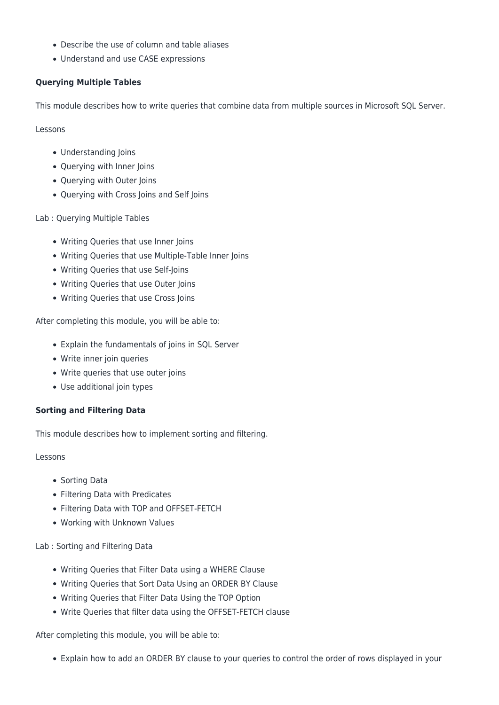- Describe the use of column and table aliases
- Understand and use CASE expressions

# **Querying Multiple Tables**

This module describes how to write queries that combine data from multiple sources in Microsoft SQL Server.

Lessons

- Understanding Joins
- Querying with Inner Joins
- Querying with Outer Joins
- Querying with Cross Joins and Self Joins

Lab : Querying Multiple Tables

- Writing Queries that use Inner Joins
- Writing Queries that use Multiple-Table Inner Joins
- Writing Queries that use Self-Joins
- Writing Queries that use Outer Joins
- Writing Queries that use Cross Joins

After completing this module, you will be able to:

- Explain the fundamentals of joins in SQL Server
- Write inner join queries
- Write queries that use outer joins
- Use additional join types

# **Sorting and Filtering Data**

This module describes how to implement sorting and filtering.

Lessons

- Sorting Data
- Filtering Data with Predicates
- Filtering Data with TOP and OFFSET-FETCH
- Working with Unknown Values

Lab : Sorting and Filtering Data

- Writing Queries that Filter Data using a WHERE Clause
- Writing Queries that Sort Data Using an ORDER BY Clause
- Writing Queries that Filter Data Using the TOP Option
- Write Queries that filter data using the OFFSET-FETCH clause

After completing this module, you will be able to:

Explain how to add an ORDER BY clause to your queries to control the order of rows displayed in your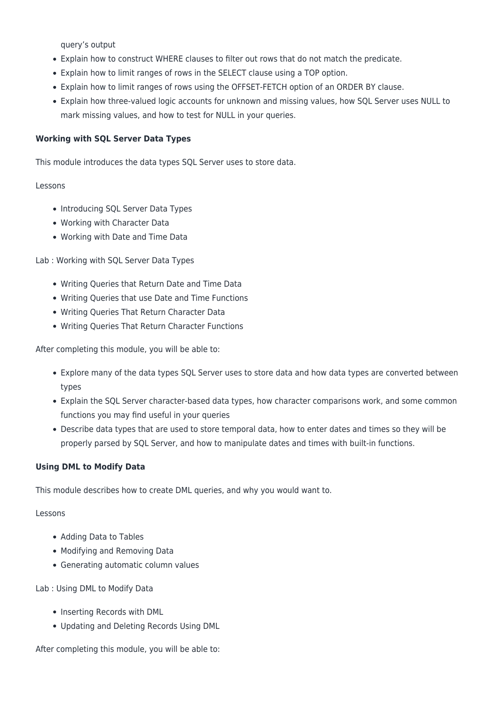query's output

- Explain how to construct WHERE clauses to filter out rows that do not match the predicate.
- Explain how to limit ranges of rows in the SELECT clause using a TOP option.
- Explain how to limit ranges of rows using the OFFSET-FETCH option of an ORDER BY clause.
- Explain how three-valued logic accounts for unknown and missing values, how SQL Server uses NULL to mark missing values, and how to test for NULL in your queries.

#### **Working with SQL Server Data Types**

This module introduces the data types SQL Server uses to store data.

#### Lessons

- Introducing SQL Server Data Types
- Working with Character Data
- Working with Date and Time Data

Lab : Working with SQL Server Data Types

- Writing Queries that Return Date and Time Data
- Writing Queries that use Date and Time Functions
- Writing Queries That Return Character Data
- Writing Queries That Return Character Functions

After completing this module, you will be able to:

- Explore many of the data types SQL Server uses to store data and how data types are converted between types
- Explain the SQL Server character-based data types, how character comparisons work, and some common functions you may find useful in your queries
- Describe data types that are used to store temporal data, how to enter dates and times so they will be properly parsed by SQL Server, and how to manipulate dates and times with built-in functions.

# **Using DML to Modify Data**

This module describes how to create DML queries, and why you would want to.

#### Lessons

- Adding Data to Tables
- Modifying and Removing Data
- Generating automatic column values

Lab : Using DML to Modify Data

- Inserting Records with DML
- Updating and Deleting Records Using DML

After completing this module, you will be able to: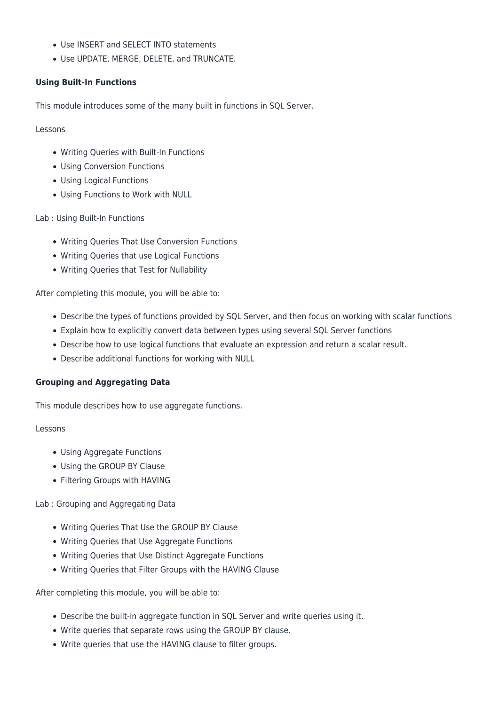- Use INSERT and SELECT INTO statements
- Use UPDATE, MERGE, DELETE, and TRUNCATE.

# **Using Built-In Functions**

This module introduces some of the many built in functions in SQL Server.

#### Lessons

- Writing Queries with Built-In Functions
- Using Conversion Functions
- Using Logical Functions
- Using Functions to Work with NULL

# Lab : Using Built-In Functions

- Writing Queries That Use Conversion Functions
- Writing Queries that use Logical Functions
- Writing Queries that Test for Nullability

After completing this module, you will be able to:

- Describe the types of functions provided by SQL Server, and then focus on working with scalar functions
- Explain how to explicitly convert data between types using several SQL Server functions
- Describe how to use logical functions that evaluate an expression and return a scalar result.
- Describe additional functions for working with NULL

# **Grouping and Aggregating Data**

This module describes how to use aggregate functions.

#### Lessons

- Using Aggregate Functions
- Using the GROUP BY Clause
- Filtering Groups with HAVING

Lab : Grouping and Aggregating Data

- Writing Queries That Use the GROUP BY Clause
- Writing Queries that Use Aggregate Functions
- Writing Queries that Use Distinct Aggregate Functions
- Writing Queries that Filter Groups with the HAVING Clause

After completing this module, you will be able to:

- Describe the built-in aggregate function in SQL Server and write queries using it.
- Write queries that separate rows using the GROUP BY clause.
- Write queries that use the HAVING clause to filter groups.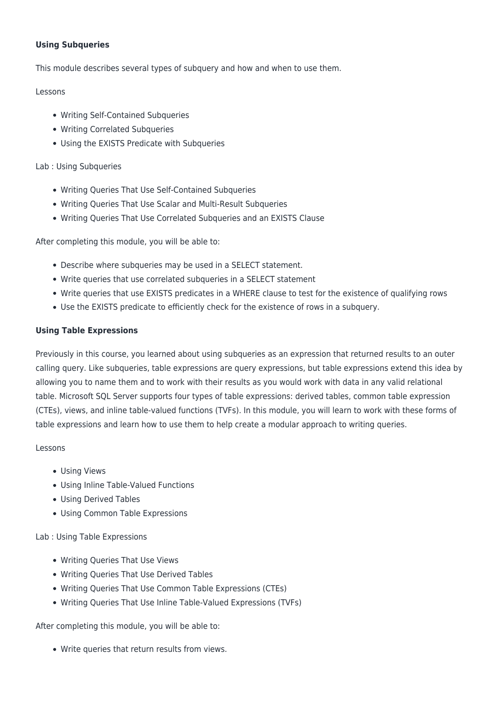# **Using Subqueries**

This module describes several types of subquery and how and when to use them.

# Lessons

- Writing Self-Contained Subqueries
- Writing Correlated Subqueries
- Using the EXISTS Predicate with Subqueries

# Lab : Using Subqueries

- Writing Queries That Use Self-Contained Subqueries
- Writing Queries That Use Scalar and Multi-Result Subqueries
- Writing Queries That Use Correlated Subqueries and an EXISTS Clause

After completing this module, you will be able to:

- Describe where subqueries may be used in a SELECT statement.
- Write queries that use correlated subqueries in a SELECT statement
- Write queries that use EXISTS predicates in a WHERE clause to test for the existence of qualifying rows
- Use the EXISTS predicate to efficiently check for the existence of rows in a subquery.

#### **Using Table Expressions**

Previously in this course, you learned about using subqueries as an expression that returned results to an outer calling query. Like subqueries, table expressions are query expressions, but table expressions extend this idea by allowing you to name them and to work with their results as you would work with data in any valid relational table. Microsoft SQL Server supports four types of table expressions: derived tables, common table expression (CTEs), views, and inline table-valued functions (TVFs). In this module, you will learn to work with these forms of table expressions and learn how to use them to help create a modular approach to writing queries.

#### Lessons

- Using Views
- Using Inline Table-Valued Functions
- Using Derived Tables
- Using Common Table Expressions

# Lab : Using Table Expressions

- Writing Queries That Use Views
- Writing Queries That Use Derived Tables
- Writing Queries That Use Common Table Expressions (CTEs)
- Writing Queries That Use Inline Table-Valued Expressions (TVFs)

After completing this module, you will be able to:

Write queries that return results from views.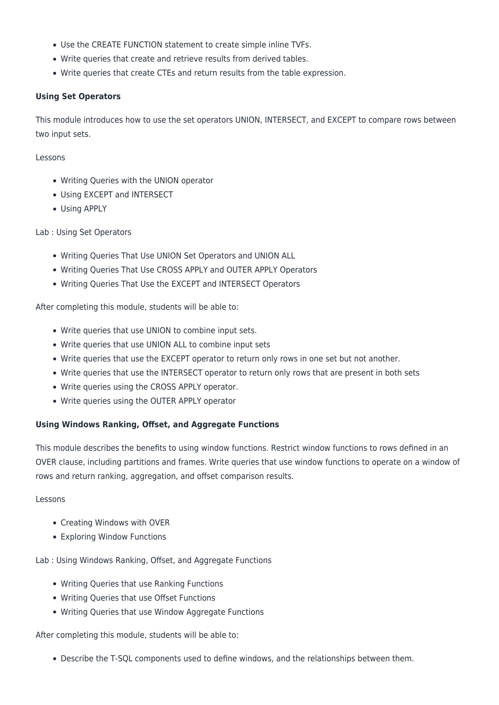- Use the CREATE FUNCTION statement to create simple inline TVFs.
- Write queries that create and retrieve results from derived tables.
- Write queries that create CTEs and return results from the table expression.

#### **Using Set Operators**

This module introduces how to use the set operators UNION, INTERSECT, and EXCEPT to compare rows between two input sets.

Lessons

- Writing Queries with the UNION operator
- Using EXCEPT and INTERSECT
- Using APPLY

#### Lab : Using Set Operators

- Writing Queries That Use UNION Set Operators and UNION ALL
- Writing Queries That Use CROSS APPLY and OUTER APPLY Operators
- Writing Queries That Use the EXCEPT and INTERSECT Operators

After completing this module, students will be able to:

- Write queries that use UNION to combine input sets.
- Write queries that use UNION ALL to combine input sets
- Write queries that use the EXCEPT operator to return only rows in one set but not another.
- Write queries that use the INTERSECT operator to return only rows that are present in both sets
- Write queries using the CROSS APPLY operator.
- Write queries using the OUTER APPLY operator

#### **Using Windows Ranking, Offset, and Aggregate Functions**

This module describes the benefits to using window functions. Restrict window functions to rows defined in an OVER clause, including partitions and frames. Write queries that use window functions to operate on a window of rows and return ranking, aggregation, and offset comparison results.

#### Lessons

- Creating Windows with OVER
- Exploring Window Functions

Lab : Using Windows Ranking, Offset, and Aggregate Functions

- Writing Queries that use Ranking Functions
- Writing Queries that use Offset Functions
- Writing Queries that use Window Aggregate Functions

After completing this module, students will be able to:

Describe the T-SQL components used to define windows, and the relationships between them.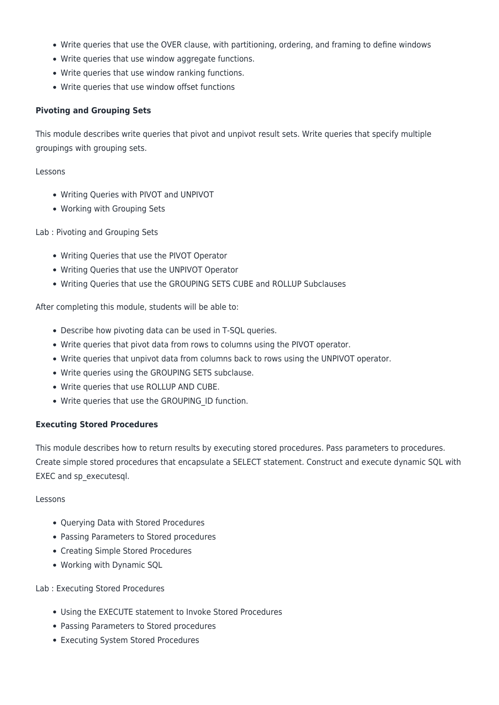- Write queries that use the OVER clause, with partitioning, ordering, and framing to define windows
- Write queries that use window aggregate functions.
- Write queries that use window ranking functions.
- Write queries that use window offset functions

# **Pivoting and Grouping Sets**

This module describes write queries that pivot and unpivot result sets. Write queries that specify multiple groupings with grouping sets.

# Lessons

- Writing Queries with PIVOT and UNPIVOT
- Working with Grouping Sets

# Lab : Pivoting and Grouping Sets

- Writing Queries that use the PIVOT Operator
- Writing Queries that use the UNPIVOT Operator
- Writing Queries that use the GROUPING SETS CUBE and ROLLUP Subclauses

After completing this module, students will be able to:

- Describe how pivoting data can be used in T-SQL queries.
- Write queries that pivot data from rows to columns using the PIVOT operator.
- Write queries that unpivot data from columns back to rows using the UNPIVOT operator.
- Write queries using the GROUPING SETS subclause.
- Write queries that use ROLLUP AND CUBE.
- Write queries that use the GROUPING\_ID function.

# **Executing Stored Procedures**

EXEC and sp\_executesql.

This module describes how to return results by executing stored procedures. Pass parameters to procedures. Create simple stored procedures that encapsulate a SELECT statement. Construct and execute dynamic SQL with

# Lessons

- Querying Data with Stored Procedures
- Passing Parameters to Stored procedures
- Creating Simple Stored Procedures
- Working with Dynamic SQL

# Lab : Executing Stored Procedures

- Using the EXECUTE statement to Invoke Stored Procedures
- Passing Parameters to Stored procedures
- Executing System Stored Procedures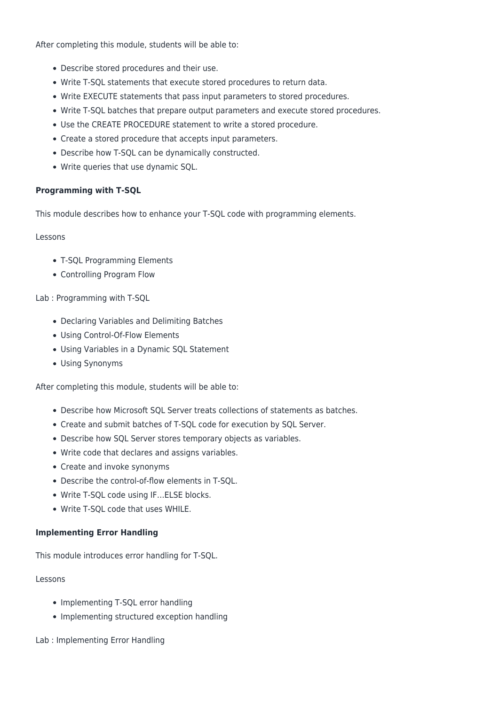After completing this module, students will be able to:

- Describe stored procedures and their use.
- Write T-SQL statements that execute stored procedures to return data.
- Write EXECUTE statements that pass input parameters to stored procedures.
- Write T-SQL batches that prepare output parameters and execute stored procedures.
- Use the CREATE PROCEDURE statement to write a stored procedure.
- Create a stored procedure that accepts input parameters.
- Describe how T-SQL can be dynamically constructed.
- Write queries that use dynamic SQL.

#### **Programming with T-SQL**

This module describes how to enhance your T-SQL code with programming elements.

#### Lessons

- T-SQL Programming Elements
- Controlling Program Flow

#### Lab : Programming with T-SQL

- Declaring Variables and Delimiting Batches
- Using Control-Of-Flow Elements
- Using Variables in a Dynamic SQL Statement
- Using Synonyms

After completing this module, students will be able to:

- Describe how Microsoft SQL Server treats collections of statements as batches.
- Create and submit batches of T-SQL code for execution by SQL Server.
- Describe how SQL Server stores temporary objects as variables.
- Write code that declares and assigns variables.
- Create and invoke synonyms
- Describe the control-of-flow elements in T-SQL.
- Write T-SQL code using IF…ELSE blocks.
- Write T-SQL code that uses WHILE.

#### **Implementing Error Handling**

This module introduces error handling for T-SQL.

#### Lessons

- Implementing T-SQL error handling
- Implementing structured exception handling

Lab : Implementing Error Handling